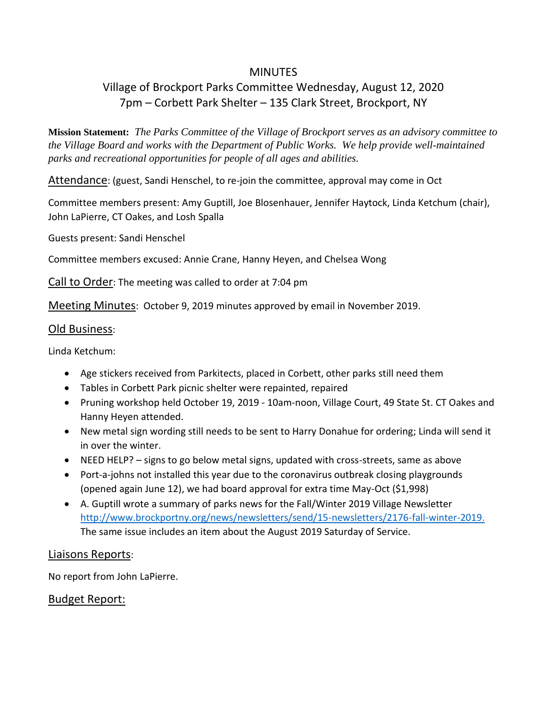## **MINUTES**

# Village of Brockport Parks Committee Wednesday, August 12, 2020 7pm – Corbett Park Shelter – 135 Clark Street, Brockport, NY

**Mission Statement:** *The Parks Committee of the Village of Brockport serves as an advisory committee to the Village Board and works with the Department of Public Works. We help provide well-maintained parks and recreational opportunities for people of all ages and abilities.*

Attendance: (guest, Sandi Henschel, to re-join the committee, approval may come in Oct

Committee members present: Amy Guptill, Joe Blosenhauer, Jennifer Haytock, Linda Ketchum (chair), John LaPierre, CT Oakes, and Losh Spalla

Guests present: Sandi Henschel

Committee members excused: Annie Crane, Hanny Heyen, and Chelsea Wong

Call to Order: The meeting was called to order at 7:04 pm

Meeting Minutes: October 9, 2019 minutes approved by email in November 2019.

### Old Business:

Linda Ketchum:

- Age stickers received from Parkitects, placed in Corbett, other parks still need them
- Tables in Corbett Park picnic shelter were repainted, repaired
- Pruning workshop held October 19, 2019 10am-noon, Village Court, 49 State St. CT Oakes and Hanny Heyen attended.
- New metal sign wording still needs to be sent to Harry Donahue for ordering; Linda will send it in over the winter.
- NEED HELP? signs to go below metal signs, updated with cross-streets, same as above
- Port-a-johns not installed this year due to the coronavirus outbreak closing playgrounds (opened again June 12), we had board approval for extra time May-Oct (\$1,998)
- A. Guptill wrote a summary of parks news for the Fall/Winter 2019 Village Newsletter [http://www.brockportny.org/news/newsletters/send/15-newsletters/2176-fall-winter-2019.](http://www.brockportny.org/news/newsletters/send/15-newsletters/2176-fall-winter-2019) The same issue includes an item about the August 2019 Saturday of Service.

## Liaisons Reports:

No report from John LaPierre.

## Budget Report: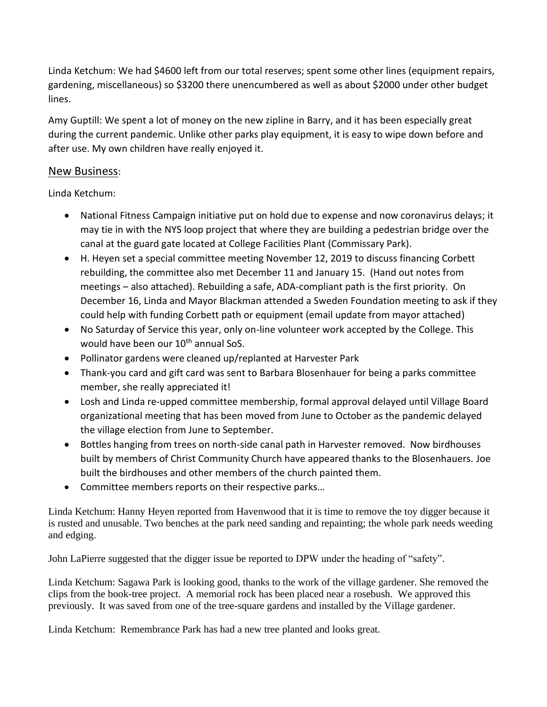Linda Ketchum: We had \$4600 left from our total reserves; spent some other lines (equipment repairs, gardening, miscellaneous) so \$3200 there unencumbered as well as about \$2000 under other budget lines.

Amy Guptill: We spent a lot of money on the new zipline in Barry, and it has been especially great during the current pandemic. Unlike other parks play equipment, it is easy to wipe down before and after use. My own children have really enjoyed it.

## New Business:

Linda Ketchum:

- National Fitness Campaign initiative put on hold due to expense and now coronavirus delays; it may tie in with the NYS loop project that where they are building a pedestrian bridge over the canal at the guard gate located at College Facilities Plant (Commissary Park).
- H. Heyen set a special committee meeting November 12, 2019 to discuss financing Corbett rebuilding, the committee also met December 11 and January 15. (Hand out notes from meetings – also attached). Rebuilding a safe, ADA-compliant path is the first priority. On December 16, Linda and Mayor Blackman attended a Sweden Foundation meeting to ask if they could help with funding Corbett path or equipment (email update from mayor attached)
- No Saturday of Service this year, only on-line volunteer work accepted by the College. This would have been our 10<sup>th</sup> annual SoS.
- Pollinator gardens were cleaned up/replanted at Harvester Park
- Thank-you card and gift card was sent to Barbara Blosenhauer for being a parks committee member, she really appreciated it!
- Losh and Linda re-upped committee membership, formal approval delayed until Village Board organizational meeting that has been moved from June to October as the pandemic delayed the village election from June to September.
- Bottles hanging from trees on north-side canal path in Harvester removed. Now birdhouses built by members of Christ Community Church have appeared thanks to the Blosenhauers. Joe built the birdhouses and other members of the church painted them.
- Committee members reports on their respective parks…

Linda Ketchum: Hanny Heyen reported from Havenwood that it is time to remove the toy digger because it is rusted and unusable. Two benches at the park need sanding and repainting; the whole park needs weeding and edging.

John LaPierre suggested that the digger issue be reported to DPW under the heading of "safety".

Linda Ketchum: Sagawa Park is looking good, thanks to the work of the village gardener. She removed the clips from the book-tree project. A memorial rock has been placed near a rosebush. We approved this previously. It was saved from one of the tree-square gardens and installed by the Village gardener.

Linda Ketchum: Remembrance Park has had a new tree planted and looks great.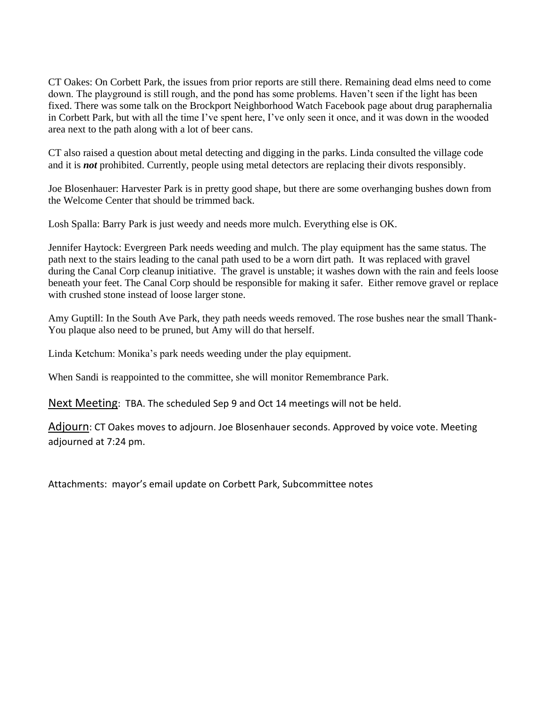CT Oakes: On Corbett Park, the issues from prior reports are still there. Remaining dead elms need to come down. The playground is still rough, and the pond has some problems. Haven't seen if the light has been fixed. There was some talk on the Brockport Neighborhood Watch Facebook page about drug paraphernalia in Corbett Park, but with all the time I've spent here, I've only seen it once, and it was down in the wooded area next to the path along with a lot of beer cans.

CT also raised a question about metal detecting and digging in the parks. Linda consulted the village code and it is *not* prohibited. Currently, people using metal detectors are replacing their divots responsibly.

Joe Blosenhauer: Harvester Park is in pretty good shape, but there are some overhanging bushes down from the Welcome Center that should be trimmed back.

Losh Spalla: Barry Park is just weedy and needs more mulch. Everything else is OK.

Jennifer Haytock: Evergreen Park needs weeding and mulch. The play equipment has the same status. The path next to the stairs leading to the canal path used to be a worn dirt path. It was replaced with gravel during the Canal Corp cleanup initiative. The gravel is unstable; it washes down with the rain and feels loose beneath your feet. The Canal Corp should be responsible for making it safer. Either remove gravel or replace with crushed stone instead of loose larger stone.

Amy Guptill: In the South Ave Park, they path needs weeds removed. The rose bushes near the small Thank-You plaque also need to be pruned, but Amy will do that herself.

Linda Ketchum: Monika's park needs weeding under the play equipment.

When Sandi is reappointed to the committee, she will monitor Remembrance Park.

Next Meeting: TBA. The scheduled Sep 9 and Oct 14 meetings will not be held.

Adjourn: CT Oakes moves to adjourn. Joe Blosenhauer seconds. Approved by voice vote. Meeting adjourned at 7:24 pm.

Attachments: mayor's email update on Corbett Park, Subcommittee notes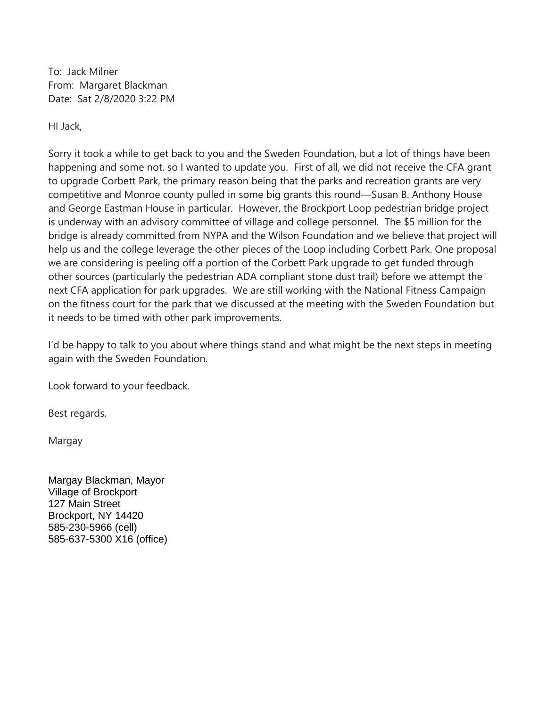To: Jack Milner From: Margaret Blackman Date: Sat 2/8/2020 3:22 PM

HI Jack,

Sorry it took a while to get back to you and the Sweden Foundation, but a lot of things have been happening and some not, so I wanted to update you. First of all, we did not receive the CFA grant to upgrade Corbett Park, the primary reason being that the parks and recreation grants are very competitive and Monroe county pulled in some big grants this round—Susan B. Anthony House and George Eastman House in particular. However, the Brockport Loop pedestrian bridge project is underway with an advisory committee of village and college personnel. The \$5 million for the bridge is already committed from NYPA and the Wilson Foundation and we believe that project will help us and the college leverage the other pieces of the Loop including Corbett Park. One proposal we are considering is peeling off a portion of the Corbett Park upgrade to get funded through other sources (particularly the pedestrian ADA compliant stone dust trail) before we attempt the next CFA application for park upgrades. We are still working with the National Fitness Campaign on the fitness court for the park that we discussed at the meeting with the Sweden Foundation but it needs to be timed with other park improvements.

I'd be happy to talk to you about where things stand and what might be the next steps in meeting again with the Sweden Foundation.

Look forward to your feedback.

Best regards,

Margay

Margay Blackman, Mayor Village of Brockport 127 Main Street Brockport, NY 14420 585-230-5966 (cell) 585-637-5300 X16 (office)